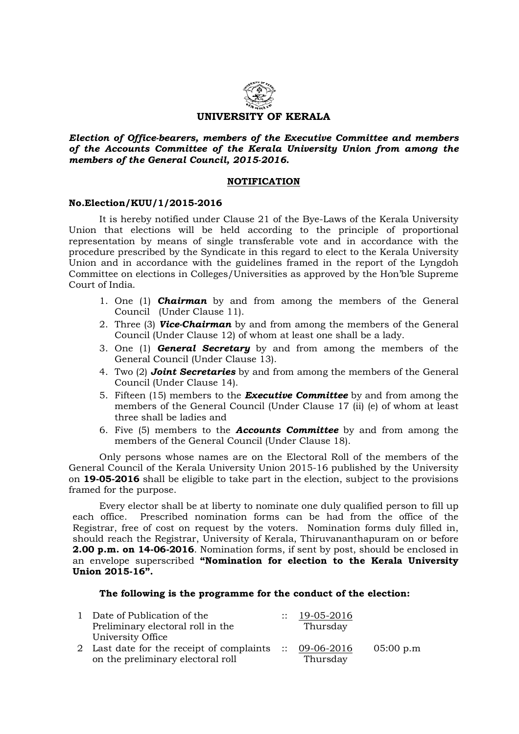

Election of Office-bearers, members of the Executive Committee and members of the Accounts Committee of the Kerala University Union from among the members of the General Council, 2015-2016.

## **NOTIFICATION**

## No.Election/KUU/1/2015-2016

 It is hereby notified under Clause 21 of the Bye-Laws of the Kerala University Union that elections will be held according to the principle of proportional representation by means of single transferable vote and in accordance with the procedure prescribed by the Syndicate in this regard to elect to the Kerala University Union and in accordance with the guidelines framed in the report of the Lyngdoh Committee on elections in Colleges/Universities as approved by the Hon'ble Supreme Court of India.

- 1. One (1) **Chairman** by and from among the members of the General Council (Under Clause 11).
- 2. Three (3) **Vice-Chairman** by and from among the members of the General Council (Under Clause 12) of whom at least one shall be a lady.
- 3. One  $(1)$  **General Secretary** by and from among the members of the General Council (Under Clause 13).
- 4. Two (2) **Joint Secretaries** by and from among the members of the General Council (Under Clause 14).
- 5. Fifteen (15) members to the **Executive Committee** by and from among the members of the General Council (Under Clause 17 (ii) (e) of whom at least three shall be ladies and
- 6. Five (5) members to the Accounts Committee by and from among the members of the General Council (Under Clause 18).

Only persons whose names are on the Electoral Roll of the members of the General Council of the Kerala University Union 2015-16 published by the University on 19-05-2016 shall be eligible to take part in the election, subject to the provisions framed for the purpose.

 Every elector shall be at liberty to nominate one duly qualified person to fill up each office. Prescribed nomination forms can be had from the office of the Registrar, free of cost on request by the voters. Nomination forms duly filled in, should reach the Registrar, University of Kerala, Thiruvananthapuram on or before 2.00 p.m. on 14-06-2016. Nomination forms, if sent by post, should be enclosed in an envelope superscribed "Nomination for election to the Kerala University Union 2015-16".

The following is the programme for the conduct of the election:

| 1 Date of Publication of the                                      | $\therefore$ 19-05-2016 |           |
|-------------------------------------------------------------------|-------------------------|-----------|
| Preliminary electoral roll in the                                 | Thursday                |           |
| University Office                                                 |                         |           |
| 2 Last date for the receipt of complaints $\therefore$ 09-06-2016 |                         | 05:00 p.m |
| on the preliminary electoral roll                                 | Thursday                |           |